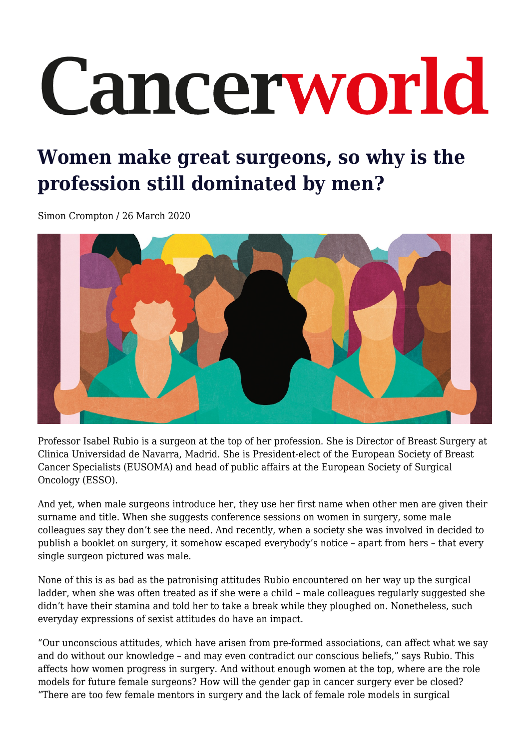# Cancerworld

## **Women make great surgeons, so why is the profession still dominated by men?**

Simon Crompton / 26 March 2020



Professor Isabel Rubio is a surgeon at the top of her profession. She is Director of Breast Surgery at Clinica Universidad de Navarra, Madrid. She is President-elect of the European Society of Breast Cancer Specialists (EUSOMA) and head of public affairs at the European Society of Surgical Oncology (ESSO).

And yet, when male surgeons introduce her, they use her first name when other men are given their surname and title. When she suggests conference sessions on women in surgery, some male colleagues say they don't see the need. And recently, when a society she was involved in decided to publish a booklet on surgery, it somehow escaped everybody's notice – apart from hers – that every single surgeon pictured was male.

None of this is as bad as the patronising attitudes Rubio encountered on her way up the surgical ladder, when she was often treated as if she were a child – male colleagues regularly suggested she didn't have their stamina and told her to take a break while they ploughed on. Nonetheless, such everyday expressions of sexist attitudes do have an impact.

"Our unconscious attitudes, which have arisen from pre-formed associations, can affect what we say and do without our knowledge – and may even contradict our conscious beliefs," says Rubio. This affects how women progress in surgery. And without enough women at the top, where are the role models for future female surgeons? How will the gender gap in cancer surgery ever be closed? "There are too few female mentors in surgery and the lack of female role models in surgical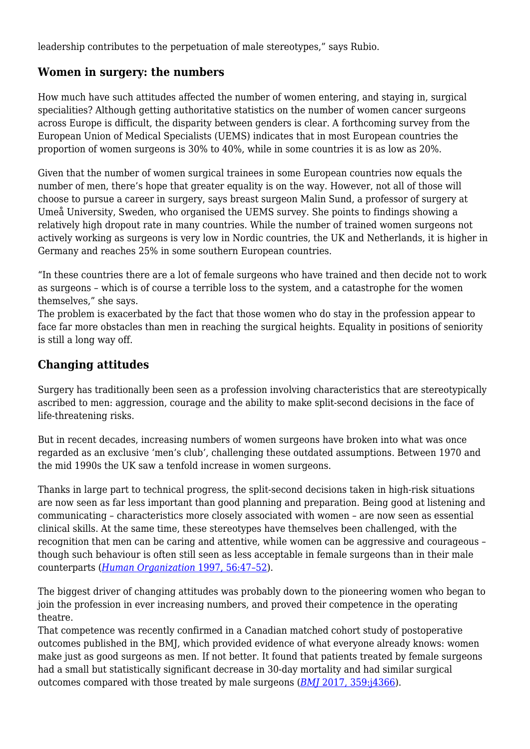leadership contributes to the perpetuation of male stereotypes," says Rubio.

#### **Women in surgery: the numbers**

How much have such attitudes affected the number of women entering, and staying in, surgical specialities? Although getting authoritative statistics on the number of women cancer surgeons across Europe is difficult, the disparity between genders is clear. A forthcoming survey from the European Union of Medical Specialists (UEMS) indicates that in most European countries the proportion of women surgeons is 30% to 40%, while in some countries it is as low as 20%.

Given that the number of women surgical trainees in some European countries now equals the number of men, there's hope that greater equality is on the way. However, not all of those will choose to pursue a career in surgery, says breast surgeon Malin Sund, a professor of surgery at Umeå University, Sweden, who organised the UEMS survey. She points to findings showing a relatively high dropout rate in many countries. While the number of trained women surgeons not actively working as surgeons is very low in Nordic countries, the UK and Netherlands, it is higher in Germany and reaches 25% in some southern European countries.

"In these countries there are a lot of female surgeons who have trained and then decide not to work as surgeons – which is of course a terrible loss to the system, and a catastrophe for the women themselves," she says.

The problem is exacerbated by the fact that those women who do stay in the profession appear to face far more obstacles than men in reaching the surgical heights. Equality in positions of seniority is still a long way off.

#### **Changing attitudes**

Surgery has traditionally been seen as a profession involving characteristics that are stereotypically ascribed to men: aggression, courage and the ability to make split-second decisions in the face of life-threatening risks.

But in recent decades, increasing numbers of women surgeons have broken into what was once regarded as an exclusive 'men's club', challenging these outdated assumptions. Between 1970 and the mid 1990s the UK saw a tenfold increase in women surgeons.

Thanks in large part to technical progress, the split-second decisions taken in high-risk situations are now seen as far less important than good planning and preparation. Being good at listening and communicating – characteristics more closely associated with women – are now seen as essential clinical skills. At the same time, these stereotypes have themselves been challenged, with the recognition that men can be caring and attentive, while women can be aggressive and courageous – though such behaviour is often still seen as less acceptable in female surgeons than in their male counterparts (*[Human Organization](https://www.jstor.org/stable/44126602?seq=1)* [1997, 56:47–52](https://www.jstor.org/stable/44126602?seq=1)).

The biggest driver of changing attitudes was probably down to the pioneering women who began to join the profession in ever increasing numbers, and proved their competence in the operating theatre.

That competence was recently confirmed in a Canadian matched cohort study of postoperative outcomes published in the BMJ, which provided evidence of what everyone already knows: women make just as good surgeons as men. If not better. It found that patients treated by female surgeons had a small but statistically significant decrease in 30-day mortality and had similar surgical outcomes compared with those treated by male surgeons (*[BMJ](https://www.bmj.com/content/359/bmj.j4366.long)* [2017, 359:j4366\)](https://www.bmj.com/content/359/bmj.j4366.long).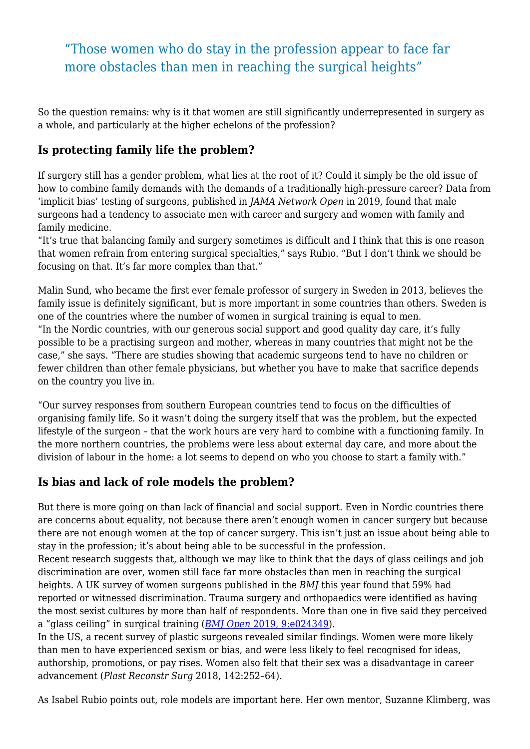"Those women who do stay in the profession appear to face far more obstacles than men in reaching the surgical heights"

So the question remains: why is it that women are still significantly underrepresented in surgery as a whole, and particularly at the higher echelons of the profession?

#### **Is protecting family life the problem?**

If surgery still has a gender problem, what lies at the root of it? Could it simply be the old issue of how to combine family demands with the demands of a traditionally high-pressure career? Data from 'implicit bias' testing of surgeons, published in *JAMA Network Open* in 2019, found that male surgeons had a tendency to associate men with career and surgery and women with family and family medicine.

"It's true that balancing family and surgery sometimes is difficult and I think that this is one reason that women refrain from entering surgical specialties," says Rubio. "But I don't think we should be focusing on that. It's far more complex than that."

Malin Sund, who became the first ever female professor of surgery in Sweden in 2013, believes the family issue is definitely significant, but is more important in some countries than others. Sweden is one of the countries where the number of women in surgical training is equal to men. "In the Nordic countries, with our generous social support and good quality day care, it's fully possible to be a practising surgeon and mother, whereas in many countries that might not be the case," she says. "There are studies showing that academic surgeons tend to have no children or fewer children than other female physicians, but whether you have to make that sacrifice depends on the country you live in.

"Our survey responses from southern European countries tend to focus on the difficulties of organising family life. So it wasn't doing the surgery itself that was the problem, but the expected lifestyle of the surgeon – that the work hours are very hard to combine with a functioning family. In the more northern countries, the problems were less about external day care, and more about the division of labour in the home: a lot seems to depend on who you choose to start a family with."

#### **Is bias and lack of role models the problem?**

But there is more going on than lack of financial and social support. Even in Nordic countries there are concerns about equality, not because there aren't enough women in cancer surgery but because there are not enough women at the top of cancer surgery. This isn't just an issue about being able to stay in the profession; it's about being able to be successful in the profession.

Recent research suggests that, although we may like to think that the days of glass ceilings and job discrimination are over, women still face far more obstacles than men in reaching the surgical heights. A UK survey of women surgeons published in the *BMJ* this year found that 59% had reported or witnessed discrimination. Trauma surgery and orthopaedics were identified as having the most sexist cultures by more than half of respondents. More than one in five said they perceived a "glass ceiling" in surgical training (*[BMJ Open](https://bmjopen.bmj.com/content/9/1/e024349.citation-tools)* [2019, 9:e024349](https://bmjopen.bmj.com/content/9/1/e024349.citation-tools)).

In the US, a recent survey of plastic surgeons revealed similar findings. Women were more likely than men to have experienced sexism or bias, and were less likely to feel recognised for ideas, authorship, promotions, or pay rises. Women also felt that their sex was a disadvantage in career advancement (*Plast Reconstr Surg* 2018, 142:252–64).

As Isabel Rubio points out, role models are important here. Her own mentor, Suzanne Klimberg, was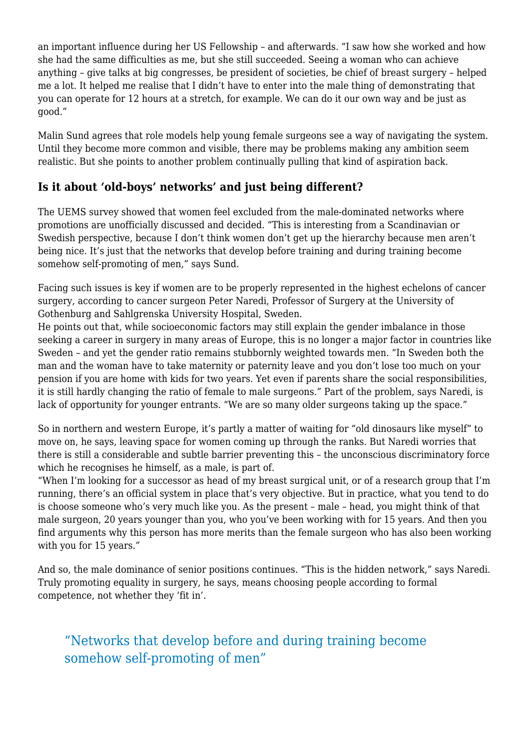an important influence during her US Fellowship – and afterwards. "I saw how she worked and how she had the same difficulties as me, but she still succeeded. Seeing a woman who can achieve anything – give talks at big congresses, be president of societies, be chief of breast surgery – helped me a lot. It helped me realise that I didn't have to enter into the male thing of demonstrating that you can operate for 12 hours at a stretch, for example. We can do it our own way and be just as good."

Malin Sund agrees that role models help young female surgeons see a way of navigating the system. Until they become more common and visible, there may be problems making any ambition seem realistic. But she points to another problem continually pulling that kind of aspiration back.

#### **Is it about 'old-boys' networks' and just being different?**

The UEMS survey showed that women feel excluded from the male-dominated networks where promotions are unofficially discussed and decided. "This is interesting from a Scandinavian or Swedish perspective, because I don't think women don't get up the hierarchy because men aren't being nice. It's just that the networks that develop before training and during training become somehow self-promoting of men," says Sund.

Facing such issues is key if women are to be properly represented in the highest echelons of cancer surgery, according to cancer surgeon Peter Naredi, Professor of Surgery at the University of Gothenburg and Sahlgrenska University Hospital, Sweden.

He points out that, while socioeconomic factors may still explain the gender imbalance in those seeking a career in surgery in many areas of Europe, this is no longer a major factor in countries like Sweden – and yet the gender ratio remains stubbornly weighted towards men. "In Sweden both the man and the woman have to take maternity or paternity leave and you don't lose too much on your pension if you are home with kids for two years. Yet even if parents share the social responsibilities, it is still hardly changing the ratio of female to male surgeons." Part of the problem, says Naredi, is lack of opportunity for younger entrants. "We are so many older surgeons taking up the space."

So in northern and western Europe, it's partly a matter of waiting for "old dinosaurs like myself" to move on, he says, leaving space for women coming up through the ranks. But Naredi worries that there is still a considerable and subtle barrier preventing this – the unconscious discriminatory force which he recognises he himself, as a male, is part of.

"When I'm looking for a successor as head of my breast surgical unit, or of a research group that I'm running, there's an official system in place that's very objective. But in practice, what you tend to do is choose someone who's very much like you. As the present – male – head, you might think of that male surgeon, 20 years younger than you, who you've been working with for 15 years. And then you find arguments why this person has more merits than the female surgeon who has also been working with you for 15 years."

And so, the male dominance of senior positions continues. "This is the hidden network," says Naredi. Truly promoting equality in surgery, he says, means choosing people according to formal competence, not whether they 'fit in'.

### "Networks that develop before and during training become somehow self-promoting of men"